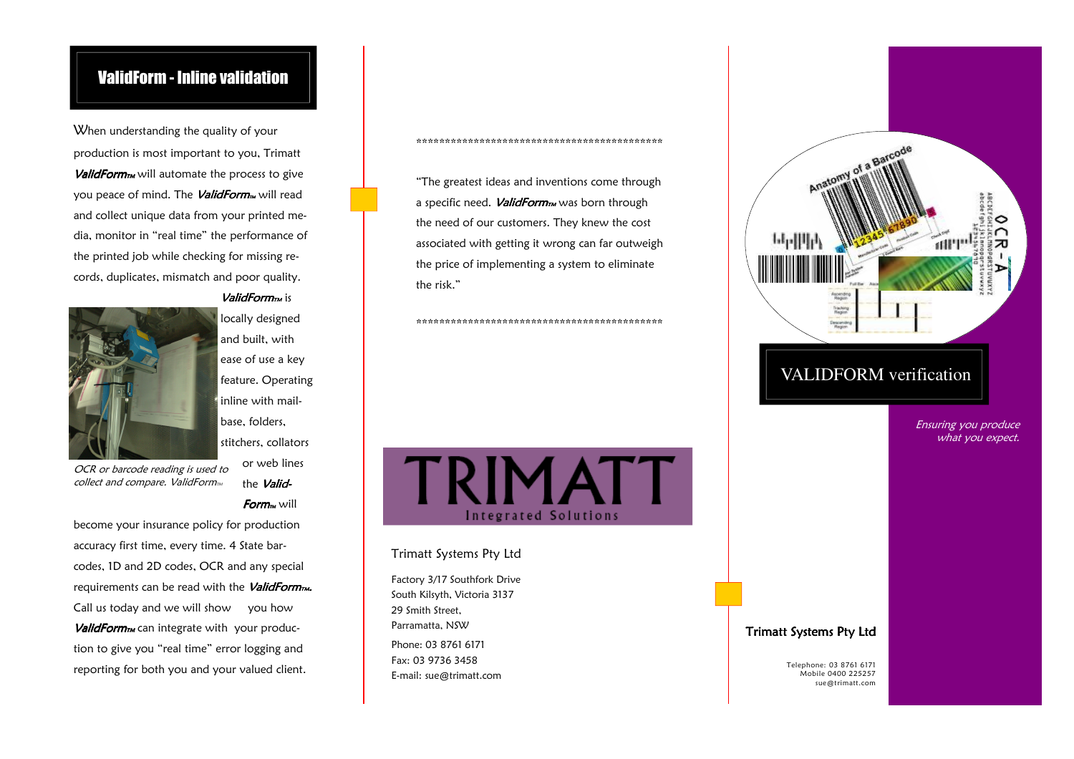## ValidForm - Inline validation

When understanding the quality of your production is most important to you, Trimatt  $ValidForm<sub>TM</sub>$  will automate the process to give you peace of mind. The *ValidForm*<sub>M</sub> will read and collect unique data from your printed media, monitor in "real time" the performance of the printed job while checking for missing records, duplicates, mismatch and poor quality.



ValidForm<sub>rm</sub> is locally designed and built, with ease of use a key feature. Operating inline with mailbase, folders, stitchers, collators or web lines

> the Valid- $Form<sub>w</sub>$  will

OCR or barcode reading is used to collect and compare. ValidForm $<sub>m</sub>$ </sub>

become your insurance policy for production accuracy first time, every time. 4 State barcodes, 1D and 2D codes, OCR and any special requirements can be read with the *ValidForm<sub>TM</sub>*. Call us today and we will show you how  $ValidForm<sub>TM</sub>$  can integrate with your production to give you "real time" error logging and reporting for both you and your valued client. The mail customer of the mail of the state of the mail of the mail customer of the mail customer of the mail customer of the mail customer of the mail customer of the mail cus

"The greatest ideas and inventions come through a specific need. ValidForm<sub>M</sub> was born through the need of our customers. They knew the cost associated with getting it wrong can far outweigh the price of implementing a system to eliminate the risk."

\*\*\*\*\*\*\*\*\*\*\*\*\*\*\*\*\*\*\*\*\*\*\*\*\*\*\*\*\*\*\*\*\*\*\*\*\*\*\*\*\*\*\*

\*\*\*\*\*\*\*\*\*\*\*\*\*\*\*\*\*\*\*\*\*\*\*\*\*\*\*\*\*\*\*\*\*\*\*\*\*\*\*\*\*\*\*

# **TRIMATT** Integrated Solutions

#### Trimatt Systems Pty Ltd

Factory 3/17 Southfork Drive South Kilsyth, Victoria 3137 29 Smith Street. Parramatta, NSW Phone: 03 8761 6171 Fax: 03 9736 3458 E-mail: sue@trimatt.com



#### Trimatt Systems Pty Ltd

sue@trimatt.com